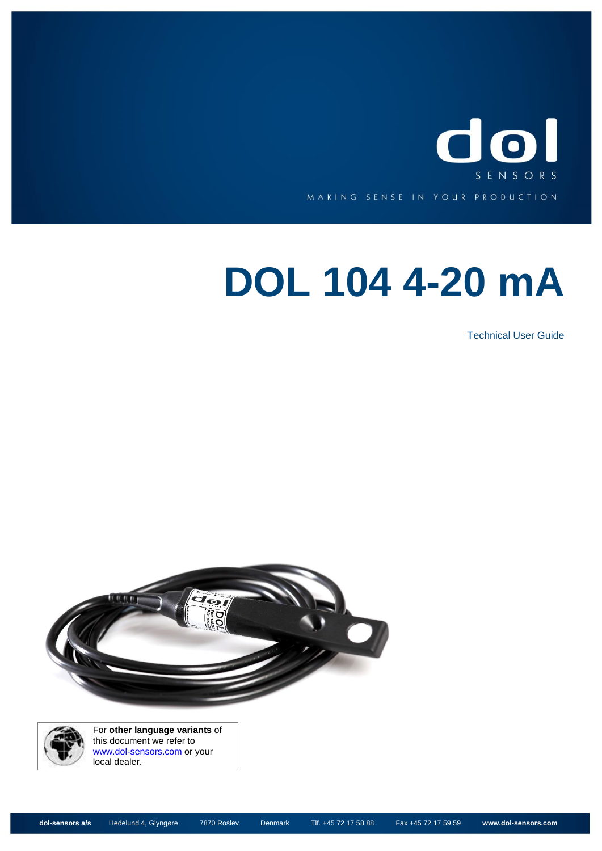

# **DOL 104 4-20 mA**

Technical User Guide





For **other language variants** of this document we refer to [www.dol-sensors.com](http://www.dol-sensors.com/EN/Details/Pages/Download_climate_sensors.aspx) or your local dealer.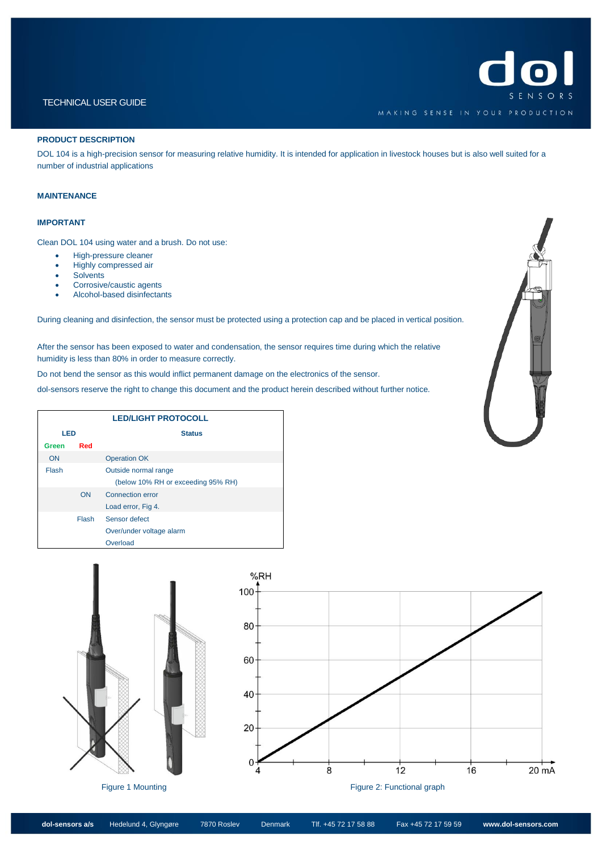# SENSORS MAKING SENSE IN YOUR PRODUCTION

### TECHNICAL USER GUIDE

#### **PRODUCT DESCRIPTION**

DOL 104 is a high-precision sensor for measuring relative humidity. It is intended for application in livestock houses but is also well suited for a number of industrial applications

#### **MAINTENANCE**

#### **IMPORTANT**

Clean DOL 104 using water and a brush. Do not use:

- High-pressure cleaner
- Highly compressed air
- **Solvents**
- Corrosive/caustic agents
- Alcohol-based disinfectants

During cleaning and disinfection, the sensor must be protected using a protection cap and be placed in vertical position.

After the sensor has been exposed to water and condensation, the sensor requires time during which the relative humidity is less than 80% in order to measure correctly.

Do not bend the sensor as this would inflict permanent damage on the electronics of the sensor.

dol-sensors reserve the right to change this document and the product herein described without further notice.

| <b>LED/LIGHT PROTOCOLL</b> |              |                                    |  |  |  |  |
|----------------------------|--------------|------------------------------------|--|--|--|--|
| <b>LED</b>                 |              | <b>Status</b>                      |  |  |  |  |
| Green                      | Red          |                                    |  |  |  |  |
| ON                         |              | <b>Operation OK</b>                |  |  |  |  |
| Flash                      |              | Outside normal range               |  |  |  |  |
|                            |              | (below 10% RH or exceeding 95% RH) |  |  |  |  |
|                            | ON           | Connection error                   |  |  |  |  |
|                            |              | Load error, Fig 4.                 |  |  |  |  |
|                            | <b>Flash</b> | Sensor defect                      |  |  |  |  |
|                            |              | Over/under voltage alarm           |  |  |  |  |
|                            |              | Overload                           |  |  |  |  |

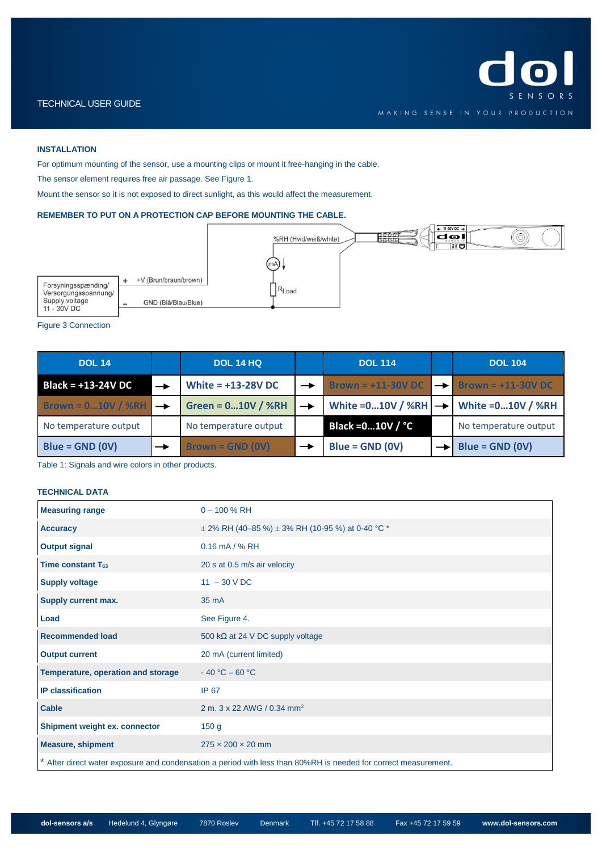# **INSTALLATION**

For optimum mounting of the sensor, use a mounting clips or mount it free-hanging in the cable.

The sensor element requires free air passage. See Figure 1.

Mount the sensor so it is not exposed to direct sunlight, as this would affect the measurement.

#### **REMEMBER TO PUT ON A PROTECTION CAP BEFORE MOUNTING THE CABLE.**



Figure 3 Connection

| <b>DOL 14</b>                       |               | <b>DOL 14 HQ</b>                     |               | <b>DOL 114</b>       | <b>DOL 104</b>                                            |
|-------------------------------------|---------------|--------------------------------------|---------------|----------------------|-----------------------------------------------------------|
| <b>Black = +13-24V DC</b>           | $\rightarrow$ | White = $+13-28V$ DC                 | $\rightarrow$ | $Brown = +11-30VDC$  | $\rightarrow$ Brown = +11-30V DC                          |
| Brown = $010V / \%RH$ $\rightarrow$ |               | Green = $010V / %RH$                 | $\rightarrow$ |                      | White = $010V / \%RH$ $\rightarrow$ White = $010V / \%RH$ |
| No temperature output               |               | No temperature output                |               | Black = 0 10 V / ° C | No temperature output                                     |
| $Blue = GND (OV)$                   |               | <b>Brown = GND <math>(0V)</math></b> |               | $Blue = GND (OV)$    | $Blue = GND (OV)$                                         |

Table 1: Signals and wire colors in other products.

### **TECHNICAL DATA**

| <b>Measuring range</b>                                                                                          | $0 - 100 %$ RH                                           |  |  |  |
|-----------------------------------------------------------------------------------------------------------------|----------------------------------------------------------|--|--|--|
| <b>Accuracy</b>                                                                                                 | $\pm$ 2% RH (40-85 %) $\pm$ 3% RH (10-95 %) at 0-40 °C * |  |  |  |
| <b>Output signal</b>                                                                                            | $0.16$ mA / % RH                                         |  |  |  |
| Time constant $T_{63}$                                                                                          | 20 s at 0.5 m/s air velocity                             |  |  |  |
| <b>Supply voltage</b>                                                                                           | $11 - 30$ V DC                                           |  |  |  |
| Supply current max.                                                                                             | 35 mA                                                    |  |  |  |
| Load                                                                                                            | See Figure 4.                                            |  |  |  |
| <b>Recommended load</b>                                                                                         | 500 k $\Omega$ at 24 V DC supply voltage                 |  |  |  |
| <b>Output current</b>                                                                                           | 20 mA (current limited)                                  |  |  |  |
| Temperature, operation and storage                                                                              | $-40 °C - 60 °C$                                         |  |  |  |
| <b>IP classification</b>                                                                                        | <b>IP 67</b>                                             |  |  |  |
| Cable                                                                                                           | 2 m, 3 x 22 AWG / 0.34 mm <sup>2</sup>                   |  |  |  |
| Shipment weight ex. connector                                                                                   | 150 <sub>g</sub>                                         |  |  |  |
| <b>Measure, shipment</b>                                                                                        | $275 \times 200 \times 20$ mm                            |  |  |  |
| * After direct water exposure and condensation a period with less than 80%RH is needed for correct measurement. |                                                          |  |  |  |